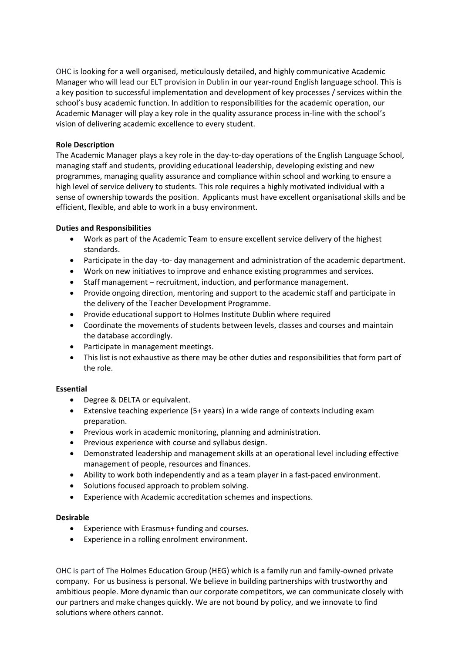OHC is looking for a well organised, meticulously detailed, and highly communicative Academic Manager who will lead our ELT provision in Dublin in our year-round English language school. This is a key position to successful implementation and development of key processes / services within the school's busy academic function. In addition to responsibilities for the academic operation, our Academic Manager will play a key role in the quality assurance process in-line with the school's vision of delivering academic excellence to every student.

## **Role Description**

The Academic Manager plays a key role in the day-to-day operations of the English Language School, managing staff and students, providing educational leadership, developing existing and new programmes, managing quality assurance and compliance within school and working to ensure a high level of service delivery to students. This role requires a highly motivated individual with a sense of ownership towards the position. Applicants must have excellent organisational skills and be efficient, flexible, and able to work in a busy environment.

## **Duties and Responsibilities**

- Work as part of the Academic Team to ensure excellent service delivery of the highest standards.
- Participate in the day -to- day management and administration of the academic department.
- Work on new initiatives to improve and enhance existing programmes and services.
- Staff management recruitment, induction, and performance management.
- Provide ongoing direction, mentoring and support to the academic staff and participate in the delivery of the Teacher Development Programme.
- Provide educational support to Holmes Institute Dublin where required
- Coordinate the movements of students between levels, classes and courses and maintain the database accordingly.
- Participate in management meetings.
- This list is not exhaustive as there may be other duties and responsibilities that form part of the role.

## **Essential**

- Degree & DELTA or equivalent.
- Extensive teaching experience (5+ years) in a wide range of contexts including exam preparation.
- Previous work in academic monitoring, planning and administration.
- Previous experience with course and syllabus design.
- Demonstrated leadership and management skills at an operational level including effective management of people, resources and finances.
- Ability to work both independently and as a team player in a fast-paced environment.
- Solutions focused approach to problem solving.
- Experience with Academic accreditation schemes and inspections.

## **Desirable**

- Experience with Erasmus+ funding and courses.
- Experience in a rolling enrolment environment.

OHC is part of The Holmes Education Group (HEG) which is a family run and family-owned private company. For us business is personal. We believe in building partnerships with trustworthy and ambitious people. More dynamic than our corporate competitors, we can communicate closely with our partners and make changes quickly. We are not bound by policy, and we innovate to find solutions where others cannot.